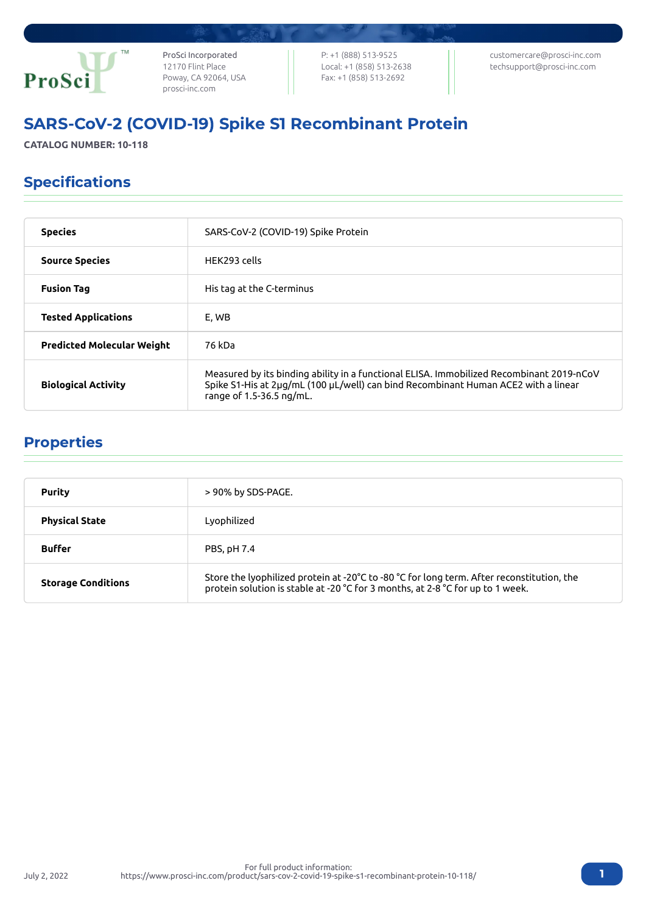

ProSci Incorporated 12170 Flint Place Poway, CA 92064, USA [prosci-inc.com](https://prosci-inc.com/)

P: +1 (888) 513-9525 Local: +1 (858) 513-2638 Fax: +1 (858) 513-2692

[customercare@prosci-inc.com](mailto:customercare@prosci-inc.com) [techsupport@prosci-inc.com](mailto:techsupport@prosci-inc.com)

# SARS-CoV-2 (COVID-19) Spike S1 Recombinant Protein

**CATALOG NUMBER: 10-118**

## Specifications

| <b>Species</b>                    | SARS-CoV-2 (COVID-19) Spike Protein                                                                                                                                                                        |
|-----------------------------------|------------------------------------------------------------------------------------------------------------------------------------------------------------------------------------------------------------|
| <b>Source Species</b>             | HEK293 cells                                                                                                                                                                                               |
| <b>Fusion Tag</b>                 | His tag at the C-terminus                                                                                                                                                                                  |
| <b>Tested Applications</b>        | E, WB                                                                                                                                                                                                      |
| <b>Predicted Molecular Weight</b> | 76 kDa                                                                                                                                                                                                     |
| <b>Biological Activity</b>        | Measured by its binding ability in a functional ELISA. Immobilized Recombinant 2019-nCoV<br>Spike S1-His at 2µg/mL (100 µL/well) can bind Recombinant Human ACE2 with a linear<br>range of 1.5-36.5 ng/mL. |

### Properties

| <b>Purity</b>             | > 90% by SDS-PAGE.                                                                                                                                                                               |
|---------------------------|--------------------------------------------------------------------------------------------------------------------------------------------------------------------------------------------------|
| <b>Physical State</b>     | Lyophilized                                                                                                                                                                                      |
| <b>Buffer</b>             | PBS, pH 7.4                                                                                                                                                                                      |
| <b>Storage Conditions</b> | Store the lyophilized protein at -20 $^{\circ}$ C to -80 $^{\circ}$ C for long term. After reconstitution, the<br>protein solution is stable at -20 °C for 3 months, at 2-8 °C for up to 1 week. |